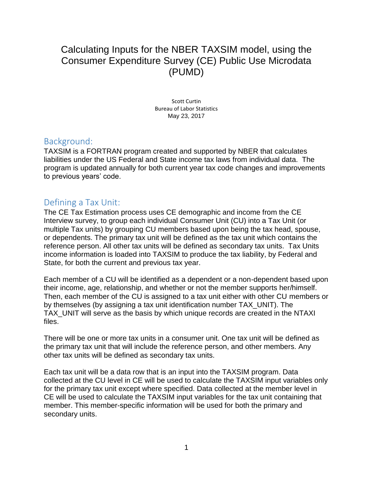# Calculating Inputs for the NBER TAXSIM model, using the Consumer Expenditure Survey (CE) Public Use Microdata (PUMD)

Scott Curtin Bureau of Labor Statistics May 23, 2017

## Background:

TAXSIM is a FORTRAN program created and supported by NBER that calculates liabilities under the US Federal and State income tax laws from individual data. The program is updated annually for both current year tax code changes and improvements to previous years' code.

## Defining a Tax Unit:

The CE Tax Estimation process uses CE demographic and income from the CE Interview survey, to group each individual Consumer Unit (CU) into a Tax Unit (or multiple Tax units) by grouping CU members based upon being the tax head, spouse, or dependents. The primary tax unit will be defined as the tax unit which contains the reference person. All other tax units will be defined as secondary tax units. Tax Units income information is loaded into TAXSIM to produce the tax liability, by Federal and State, for both the current and previous tax year.

Each member of a CU will be identified as a dependent or a non-dependent based upon their income, age, relationship, and whether or not the member supports her/himself. Then, each member of the CU is assigned to a tax unit either with other CU members or by themselves (by assigning a tax unit identification number TAX\_UNIT). The TAX\_UNIT will serve as the basis by which unique records are created in the NTAXI files.

There will be one or more tax units in a consumer unit. One tax unit will be defined as the primary tax unit that will include the reference person, and other members. Any other tax units will be defined as secondary tax units.

Each tax unit will be a data row that is an input into the TAXSIM program. Data collected at the CU level in CE will be used to calculate the TAXSIM input variables only for the primary tax unit except where specified. Data collected at the member level in CE will be used to calculate the TAXSIM input variables for the tax unit containing that member. This member-specific information will be used for both the primary and secondary units.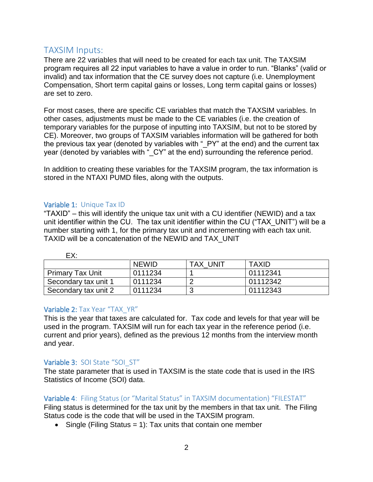## TAXSIM Inputs:

There are 22 variables that will need to be created for each tax unit. The TAXSIM program requires all 22 input variables to have a value in order to run. "Blanks" (valid or invalid) and tax information that the CE survey does not capture (i.e. Unemployment Compensation, Short term capital gains or losses, Long term capital gains or losses) are set to zero.

For most cases, there are specific CE variables that match the TAXSIM variables. In other cases, adjustments must be made to the CE variables (i.e. the creation of temporary variables for the purpose of inputting into TAXSIM, but not to be stored by CE). Moreover, two groups of TAXSIM variables information will be gathered for both the previous tax year (denoted by variables with " PY" at the end) and the current tax year (denoted by variables with " CY" at the end) surrounding the reference period.

In addition to creating these variables for the TAXSIM program, the tax information is stored in the NTAXI PUMD files, along with the outputs.

#### Variable 1: Unique Tax ID

"TAXID" – this will identify the unique tax unit with a CU identifier (NEWID) and a tax unit identifier within the CU. The tax unit identifier within the CU ("TAX\_UNIT") will be a number starting with 1, for the primary tax unit and incrementing with each tax unit. TAXID will be a concatenation of the NEWID and TAX\_UNIT

| ---                     |              |                 |              |
|-------------------------|--------------|-----------------|--------------|
|                         | <b>NEWID</b> | <b>TAX UNIT</b> | <b>TAXID</b> |
| <b>Primary Tax Unit</b> | 0111234      |                 | 01112341     |
| Secondary tax unit 1    | 0111234      |                 | 01112342     |
| Secondary tax unit 2    | 0111234      |                 | 01112343     |

EX:

#### Variable 2: Tax Year "TAX\_YR"

This is the year that taxes are calculated for. Tax code and levels for that year will be used in the program. TAXSIM will run for each tax year in the reference period (i.e. current and prior years), defined as the previous 12 months from the interview month and year.

#### Variable 3: SOI State "SOI\_ST"

The state parameter that is used in TAXSIM is the state code that is used in the IRS Statistics of Income (SOI) data.

#### Variable 4: Filing Status (or "Marital Status" in TAXSIM documentation) "FILESTAT"

Filing status is determined for the tax unit by the members in that tax unit. The Filing Status code is the code that will be used in the TAXSIM program.

• Single (Filing Status = 1): Tax units that contain one member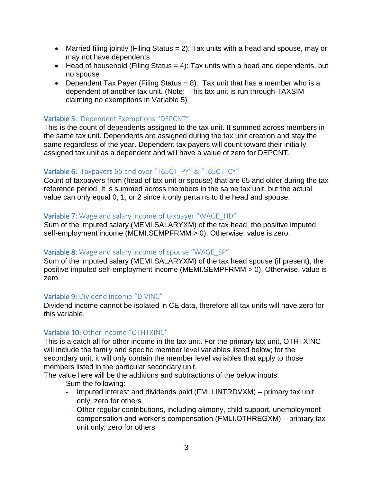- Married filing jointly (Filing Status  $= 2$ ): Tax units with a head and spouse, may or may not have dependents
- $\bullet$  Head of household (Filing Status = 4): Tax units with a head and dependents, but no spouse
- Dependent Tax Payer (Filing Status = 8): Tax unit that has a member who is a dependent of another tax unit. (Note: This tax unit is run through TAXSIM claiming no exemptions in Variable 5)

#### Variable 5: Dependent Exemptions "DEPCNT"

This is the count of dependents assigned to the tax unit. It summed across members in the same tax unit. Dependents are assigned during the tax unit creation and stay the same regardless of the year. Dependent tax payers will count toward their initially assigned tax unit as a dependent and will have a value of zero for DEPCNT.

#### Variable 6: Taxpayers 65 and over "T65CT\_PY" & "T65CT\_CY"

Count of taxpayers from (head of tax unit or spouse) that are 65 and older during the tax reference period. It is summed across members in the same tax unit, but the actual value can only equal 0, 1, or 2 since it only pertains to the head and spouse.

#### Variable 7: Wage and salary income of taxpayer "WAGE HD"

Sum of the imputed salary (MEMI.SALARYXM) of the tax head, the positive imputed self-employment income (MEMI.SEMPFRMM > 0). Otherwise, value is zero.

#### Variable 8: Wage and salary income of spouse "WAGE SP"

Sum of the imputed salary (MEMI.SALARYXM) of the tax head spouse (if present), the positive imputed self-employment income (MEMI.SEMPFRMM > 0). Otherwise, value is zero.

#### Variable 9: Dividend income "DIVINC"

Dividend income cannot be isolated in CE data, therefore all tax units will have zero for this variable.

#### Variable 10: Other income "OTHTXINC"

This is a catch all for other income in the tax unit. For the primary tax unit, OTHTXINC will include the family and specific member level variables listed below; for the secondary unit, it will only contain the member level variables that apply to those members listed in the particular secondary unit.

The value here will be the additions and subtractions of the below inputs.

Sum the following:

- Imputed interest and dividends paid (FMLI.INTRDVXM) primary tax unit only, zero for others
- Other regular contributions, including alimony, child support, unemployment compensation and worker's compensation (FMLI.OTHREGXM) – primary tax unit only, zero for others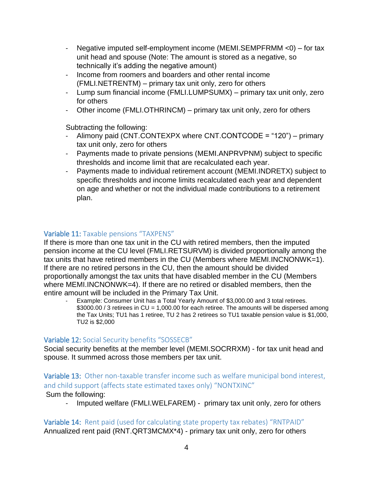- Negative imputed self-employment income (MEMI.SEMPFRMM <0) for tax unit head and spouse (Note: The amount is stored as a negative, so technically it's adding the negative amount)
- Income from roomers and boarders and other rental income (FMLI.NETRENTM) – primary tax unit only, zero for others
- Lump sum financial income (FMLI.LUMPSUMX) primary tax unit only, zero for others
- Other income (FMLI.OTHRINCM) primary tax unit only, zero for others

Subtracting the following:

- Alimony paid (CNT.CONTEXPX where CNT.CONTCODE = "120") primary tax unit only, zero for others
- Payments made to private pensions (MEMI.ANPRVPNM) subject to specific thresholds and income limit that are recalculated each year.
- Payments made to individual retirement account (MEMI.INDRETX) subject to specific thresholds and income limits recalculated each year and dependent on age and whether or not the individual made contributions to a retirement plan.

## Variable 11: Taxable pensions "TAXPENS"

If there is more than one tax unit in the CU with retired members, then the imputed pension income at the CU level (FMLI.RETSURVM) is divided proportionally among the tax units that have retired members in the CU (Members where MEMI.INCNONWK=1). If there are no retired persons in the CU, then the amount should be divided proportionally amongst the tax units that have disabled member in the CU (Members where MEMI.INCNONWK=4). If there are no retired or disabled members, then the entire amount will be included in the Primary Tax Unit.

Example: Consumer Unit has a Total Yearly Amount of \$3,000.00 and 3 total retirees. \$3000.00 / 3 retirees in CU = 1,000.00 for each retiree. The amounts will be dispersed among the Tax Units; TU1 has 1 retiree, TU 2 has 2 retirees so TU1 taxable pension value is \$1,000, TU2 is \$2,000

#### Variable 12: Social Security benefits "SOSSECB"

Social security benefits at the member level (MEMI.SOCRRXM) - for tax unit head and spouse. It summed across those members per tax unit.

## Variable 13: Other non-taxable transfer income such as welfare municipal bond interest, and child support (affects state estimated taxes only) "NONTXINC"

Sum the following:

- Imputed welfare (FMLI.WELFAREM) - primary tax unit only, zero for others

Variable 14: Rent paid (used for calculating state property tax rebates) "RNTPAID" Annualized rent paid (RNT.QRT3MCMX\*4) - primary tax unit only, zero for others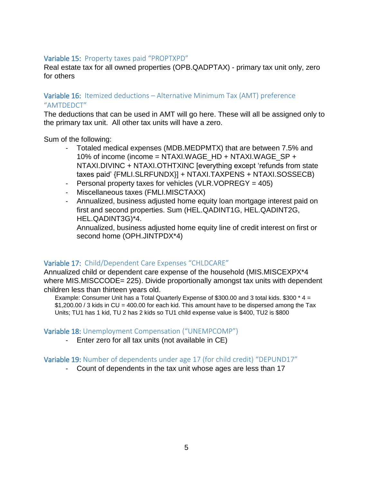#### Variable 15: Property taxes paid "PROPTXPD"

Real estate tax for all owned properties (OPB.QADPTAX) - primary tax unit only, zero for others

#### Variable 16: Itemized deductions – Alternative Minimum Tax (AMT) preference "AMTDEDCT"

The deductions that can be used in AMT will go here. These will all be assigned only to the primary tax unit. All other tax units will have a zero.

Sum of the following:

- Totaled medical expenses (MDB.MEDPMTX) that are between 7.5% and 10% of income (income = NTAXI.WAGE\_HD + NTAXI.WAGE\_SP + NTAXI.DIVINC + NTAXI.OTHTXINC [everything except 'refunds from state taxes paid' {FMLI.SLRFUNDX}] + NTAXI.TAXPENS + NTAXI.SOSSECB)
- Personal property taxes for vehicles (VLR.VOPREGY = 405)
- Miscellaneous taxes (FMLI.MISCTAXX)
- Annualized, business adjusted home equity loan mortgage interest paid on first and second properties. Sum (HEL.QADINT1G, HEL.QADINT2G, HEL.QADINT3G)\*4.

Annualized, business adjusted home equity line of credit interest on first or second home (OPH.JINTPDX\*4)

#### Variable 17: Child/Dependent Care Expenses "CHLDCARE"

Annualized child or dependent care expense of the household (MIS.MISCEXPX\*4 where MIS.MISCCODE= 225). Divide proportionally amongst tax units with dependent children less than thirteen years old.

Example: Consumer Unit has a Total Quarterly Expense of \$300.00 and 3 total kids. \$300 \* 4 = \$1,200.00 / 3 kids in CU = 400.00 for each kid. This amount have to be dispersed among the Tax Units; TU1 has 1 kid, TU 2 has 2 kids so TU1 child expense value is \$400, TU2 is \$800

#### Variable 18: Unemployment Compensation ("UNEMPCOMP")

- Enter zero for all tax units (not available in CE)

#### Variable 19: Number of dependents under age 17 (for child credit) "DEPUND17"

- Count of dependents in the tax unit whose ages are less than 17